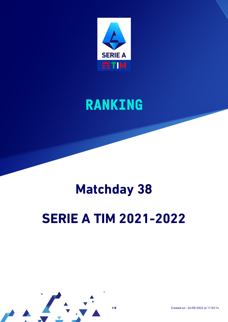

### **RANKING**

# **Matchday 38**

## **SERIE A TIM 2021-2022**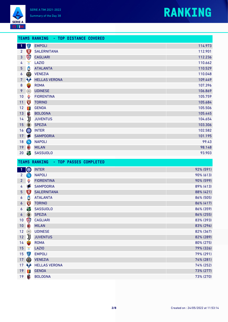



I

|                   |                          | TEAMS RANKING - TOP DISTANCE COVERED |         |
|-------------------|--------------------------|--------------------------------------|---------|
| $\vert 1 \rangle$ | 传                        | <b>EMPOLI</b>                        | 114.973 |
|                   | $2 \infty$               | <b>SALERNITANA</b>                   | 112.901 |
| $\mathbf{3}$      | \$                       | <b>CAGLIARI</b>                      | 112.236 |
| 4                 | $\delta$                 | LAZI <sub>0</sub>                    | 110.662 |
| 5 <sup>1</sup>    | C                        | <b>ATALANTA</b>                      | 110.529 |
| $\overline{6}$    | O                        | <b>VENEZIA</b>                       | 110.048 |
| 7 <sup>7</sup>    | <b>Ap</b>                | <b>HELLAS VERONA</b>                 | 109.449 |
| $\bf{8}$          |                          | <b>ROMA</b>                          | 107.396 |
| 9                 | $\odot$                  | <b>UDINESE</b>                       | 106.869 |
| 10                | ♦                        | <b>FIORENTINA</b>                    | 105.759 |
| 11                | <b>The Second Second</b> | <b>TORINO</b>                        | 105.684 |
| 12                | 零                        | <b>GENOA</b>                         | 105.506 |
| 13                | $\mathbf{R}$             | <b>BOLOGNA</b>                       | 105.445 |
| 14                | IJ                       | <b>JUVENTUS</b>                      | 104.654 |
| 15 <sub>1</sub>   | $\circledcirc$           | <b>SPEZIA</b>                        | 103.306 |
|                   |                          |                                      |         |

| 13 |                     | <b>BOLOGNA</b>   | 105.445 |
|----|---------------------|------------------|---------|
| 14 | JJ                  | <b>JUVENTUS</b>  | 104.654 |
|    | $15$ $\circledcirc$ | <b>SPEZIA</b>    | 103.306 |
|    | 16 00               | <b>INTER</b>     | 102.582 |
|    | $17 \leq$           | <b>SAMPDORIA</b> | 101.195 |
|    | $18$ $\Omega$       | <b>NAPOLI</b>    | 99.43   |
| 19 | <b>B</b>            | <b>MILAN</b>     | 98.148  |
|    | 20 高                | <b>SASSUOLO</b>  | 93.903  |

|                     |                    | TEAMS RANKING - TOP PASSES COMPLETED |           |
|---------------------|--------------------|--------------------------------------|-----------|
| $\vert$ 1           | OIO                | <b>INTER</b>                         | 92% (591) |
| $\overline{2}$      | $\bigcirc$         | <b>NAPOLI</b>                        | 90% (613) |
| 2 <sup>2</sup>      | ♦                  | <b>FIORENTINA</b>                    | 90% (599) |
| 4                   |                    | <b>SAMPDORIA</b>                     | 89% (413) |
| 5 <sub>1</sub>      | BY.                | <b>SALERNITANA</b>                   | 88% (421) |
| $\boldsymbol{6}$    | C                  | <b>ATALANTA</b>                      | 86% (505) |
| $\boldsymbol{6}$    | TORING<br>Capacity | <b>TORINO</b>                        | 86% (417) |
| $\boldsymbol{6}$    | 剛                  | <b>SASSUOLO</b>                      | 86% (359) |
| $\boldsymbol{6}$    | 0                  | <b>SPEZIA</b>                        | 86% (255) |
| 10 <sub>1</sub>     | \$                 | <b>CAGLIARI</b>                      | 83% (393) |
| 10 <sub>1</sub>     | $\bigcirc$         | <b>MILAN</b>                         | 83% (296) |
| 12                  | $\odot$            | <b>UDINESE</b>                       | 82% (367) |
| 12 <sub>2</sub>     |                    | <b>JUVENTUS</b>                      | 82% (289) |
| $14 -$              |                    | <b>ROMA</b>                          | 80% (275) |
| $15 \text{h}$       |                    | <b>LAZIO</b>                         | 79% (326) |
| 15 <sub>1</sub>     | (草)                | <b>EMPOLI</b>                        | 79% (291) |
| $17$ $\circledcirc$ |                    | <b>VENEZIA</b>                       | 74% (281) |
|                     | $17 - \bullet$     | <b>HELLAS VERONA</b>                 | 74% (252) |
| 19 图                |                    | <b>GENOA</b>                         | 73% (277) |
| 19                  | 6                  | <b>BOLOGNA</b>                       | 73% (270) |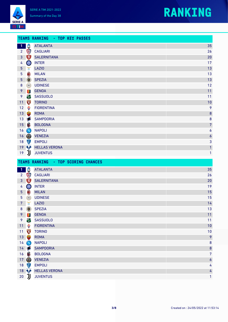



|                 |                                                 | TEAMS RANKING - TOP KEY PASSES      |                  |
|-----------------|-------------------------------------------------|-------------------------------------|------------------|
| $\mathbf{1}$    | C                                               | <b>ATALANTA</b>                     | 35               |
| $\overline{2}$  | \$                                              | <b>CAGLIARI</b>                     | 26               |
| $\mathbf{3}$    | $\sum_{n=0}^{\infty}$                           | <b>SALERNITANA</b>                  | 20               |
| 4               | <b>OIO</b>                                      | <b>INTER</b>                        | 17               |
| $5\phantom{.0}$ | $\mathfrak{h}$                                  | <b>LAZIO</b>                        | 13               |
| $\overline{5}$  | $\textcolor{red}{\textcolor{blue}{\textbf{0}}}$ | <b>MILAN</b>                        | 13               |
| $5\phantom{.0}$ | $\circledcirc$                                  | <b>SPEZIA</b>                       | 13               |
| 8               | $\odot$                                         | <b>UDINESE</b>                      | 12               |
| 9               | 零                                               | <b>GENOA</b>                        | 11               |
| 9               | 曾                                               | <b>SASSUOLO</b>                     | 11               |
| 11              | TORINO                                          | <b>TORINO</b>                       | 10               |
| 12              | ♦                                               | <b>FIORENTINA</b>                   | 9                |
| 13              | <b>Expertise</b>                                | <b>ROMA</b>                         | 8                |
|                 | $13 \bullet$                                    | <b>SAMPDORIA</b>                    | 8                |
| 15              | 6                                               | <b>BOLOGNA</b>                      | $\overline{7}$   |
| 16              | $\circledR$                                     | <b>NAPOLI</b>                       | $\boldsymbol{6}$ |
| 16              | $\circledcirc$                                  | <b>VENEZIA</b>                      | $\boldsymbol{6}$ |
| 18              | (E)                                             | <b>EMPOLI</b>                       | 3                |
|                 | $19$ $\uparrow$                                 | <b>HELLAS VERONA</b>                | 1                |
| 19              | IJ                                              | <b>JUVENTUS</b>                     | 1                |
|                 |                                                 | TEAMS RANKING - TOP SCORING CHANCES |                  |
| $\mathbf{1}$    | C                                               | <b>ATALANTA</b>                     | 35               |
| $\overline{2}$  | \$                                              | <b>CAGLIARI</b>                     | 26               |
| $\overline{3}$  | $\mathbb{E}$                                    | <b>SALERNITANA</b>                  | 20               |

| $\mathbf{3}$    | $\sum_{n=1}^{\infty}$                                             | <b>SALERNITANA</b> | 20               |
|-----------------|-------------------------------------------------------------------|--------------------|------------------|
| 4               | W                                                                 | <b>INTER</b>       | 19               |
| $\overline{5}$  | $\textcolor{red}{\textcolor{blue}{\textcolor{blue}{\textbf{0}}}}$ | <b>MILAN</b>       | 15               |
| $\overline{5}$  | $\odot$                                                           | <b>UDINESE</b>     | 15               |
| $\overline{7}$  | ď                                                                 | <b>LAZIO</b>       | 14               |
| $\bf 8$         | 0                                                                 | <b>SPEZIA</b>      | 13               |
| 9               | 搴                                                                 | <b>GENOA</b>       | 11               |
| $\overline{9}$  | 簡                                                                 | <b>SASSUOLO</b>    | 11               |
| 11              | ♦                                                                 | <b>FIORENTINA</b>  | 10               |
| 11              | <b>TORINO</b>                                                     | <b>TORINO</b>      | 10               |
| 13              | <b>SERV</b>                                                       | <b>ROMA</b>        | 9                |
| 14              | $\bigcirc$                                                        | <b>NAPOLI</b>      | 8                |
| 14              |                                                                   | <b>SAMPDORIA</b>   | $\overline{8}$   |
| 16              | 6                                                                 | <b>BOLOGNA</b>     | $\overline{7}$   |
| 17 <sub>2</sub> | O                                                                 | <b>VENEZIA</b>     | $\boldsymbol{6}$ |
| 18              | (草)                                                               | <b>EMPOLI</b>      | 4                |
| 18              |                                                                   | HELLAS VERONA      | 4                |
| $20\,$          | IJ                                                                | <b>JUVENTUS</b>    | 1                |
|                 |                                                                   |                    |                  |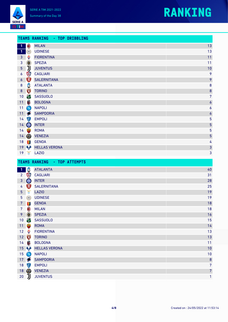



|                  |                                                 | TEAMS RANKING - TOP DRIBBLING |                  |
|------------------|-------------------------------------------------|-------------------------------|------------------|
| $\vert$ 1        | $\textcolor{red}{\textcolor{blue}{\textbf{0}}}$ | <b>MILAN</b>                  | 13               |
|                  | $\odot$                                         | <b>UDINESE</b>                | 13               |
| $\mathbf{3}$     | ♦                                               | <b>FIORENTINA</b>             | 11               |
| $\mathbf{3}$     | $\circledcirc$                                  | <b>SPEZIA</b>                 | 11               |
| $\sqrt{5}$       | IJ                                              | <b>JUVENTUS</b>               | 10               |
| $\boldsymbol{6}$ | \$                                              | <b>CAGLIARI</b>               | 9                |
| $\boldsymbol{6}$ | 高                                               | <b>SALERNITANA</b>            | 9                |
| $\bf 8$          | C                                               | <b>ATALANTA</b>               | 8                |
| 8 <sup>°</sup>   | TORINO<br>Capache                               | <b>TORINO</b>                 | 8                |
| 10               | 高                                               | <b>SASSUOLO</b>               | $\overline{7}$   |
| 11               | $\bigoplus$                                     | <b>BOLOGNA</b>                | $\boldsymbol{6}$ |
| 11               | $\bigcirc$                                      | <b>NAPOLI</b>                 | $\boldsymbol{6}$ |
| 11               |                                                 | <b>SAMPDORIA</b>              | $\boldsymbol{6}$ |
| 14               | (                                               | <b>EMPOLI</b>                 | 5                |
| 14               | OIO                                             | <b>INTER</b>                  | 5                |
| 14               |                                                 | <b>ROMA</b>                   | 5                |
| 14               | $\bullet$                                       | <b>VENEZIA</b>                | $\overline{5}$   |
| 18               | 琴                                               | <b>GENOA</b>                  | 4                |
|                  |                                                 | 19 HELLAS VERONA              | 3                |
|                  |                                                 | 19 T LAZIO                    | 3                |

|                 |                                                 | TEAMS RANKING - TOP ATTEMPTS |                  |
|-----------------|-------------------------------------------------|------------------------------|------------------|
| $\mathbf{1}$    | C                                               | <b>ATALANTA</b>              | 40               |
| $\overline{2}$  | \$                                              | <b>CAGLIARI</b>              | 31               |
| $\mathbf{3}$    | QIO                                             | <b>INTER</b>                 | 28               |
| 4               | B <sup>*</sup>                                  | <b>SALERNITANA</b>           | 25               |
| 5 <sup>5</sup>  | $\mathfrak{g}$                                  | <b>LAZIO</b>                 | 19               |
| $5\phantom{.0}$ | $\odot$                                         | <b>UDINESE</b>               | 19               |
| 7               | 零                                               | <b>GENOA</b>                 | 18               |
| $\overline{7}$  | $\textcolor{red}{\textcolor{blue}{\textbf{0}}}$ | <b>MILAN</b>                 | 18               |
| 9               | 0                                               | <b>SPEZIA</b>                | 16               |
| 10 <sub>1</sub> | 創                                               | <b>SASSUOLO</b>              | 15               |
| 11              |                                                 | <b>ROMA</b>                  | 14               |
| 12              | ♦                                               | <b>FIORENTINA</b>            | 13               |
| 12              | <b>TORING</b>                                   | <b>TORINO</b>                | 13               |
| 14              | 6                                               | <b>BOLOGNA</b>               | 11               |
| 15 <sub>1</sub> | <b>A</b>                                        | <b>HELLAS VERONA</b>         | 10               |
| 15              | $\bigcirc$                                      | <b>NAPOLI</b>                | 10               |
| 17 <sup>7</sup> |                                                 | <b>SAMPDORIA</b>             | $\boldsymbol{8}$ |
| 18              | (車)                                             | <b>EMPOLI</b>                | $\overline{7}$   |
| 18              | $\circledcirc$                                  | <b>VENEZIA</b>               | $\overline{7}$   |
| $20\,$          | IJ                                              | <b>JUVENTUS</b>              | 1                |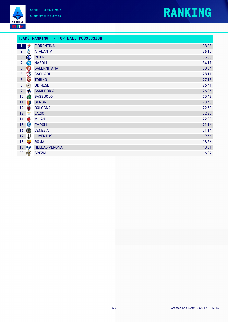



| <b>TEAMS RANKING</b> | <b>TOP BALL POSSESSION</b> |
|----------------------|----------------------------|
|----------------------|----------------------------|

| $\mathbf \Phi$   | ♦                                          | <b>FIORENTINA</b>    | 38'38 |
|------------------|--------------------------------------------|----------------------|-------|
| $\overline{2}$   | C                                          | <b>ATALANTA</b>      | 36'10 |
| $\mathbf{3}$     | W                                          | <b>INTER</b>         | 35'58 |
| 4                | $\bigcirc$                                 | <b>NAPOLI</b>        | 34'19 |
| $5\phantom{.0}$  | <b>B</b>                                   | <b>SALERNITANA</b>   | 30'04 |
| $\boldsymbol{6}$ | \$                                         | <b>CAGLIARI</b>      | 28'11 |
| $\overline{7}$   | TORING<br>Capital Corp.                    | <b>TORINO</b>        | 27'13 |
| $\bf 8$          | $\Omega$                                   | <b>UDINESE</b>       | 26'41 |
| 9                |                                            | <b>SAMPDORIA</b>     | 26'05 |
| 10               | 篇                                          | <b>SASSUOLO</b>      | 25'48 |
| 11               | 零                                          | <b>GENOA</b>         | 23'48 |
| 12               | O                                          | <b>BOLOGNA</b>       | 22'53 |
| 13               | ð                                          | <b>LAZIO</b>         | 22'35 |
| 14               | $\textcolor{red}{\textcircled{\small{1}}}$ | <b>MILAN</b>         | 22'00 |
| 15               | $\left( \frac{1}{2} \right)$               | <b>EMPOLI</b>        | 21'16 |
| 16               | O                                          | <b>VENEZIA</b>       | 21'14 |
| 17               | リ                                          | <b>JUVENTUS</b>      | 19'56 |
| 18               |                                            | <b>ROMA</b>          | 18'56 |
| 19               | <b>NA</b>                                  | <b>HELLAS VERONA</b> | 18'31 |
| $20\,$           | $\circledcirc$                             | <b>SPEZIA</b>        | 16'07 |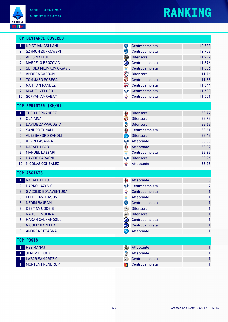

### **RANKING**

|                 | <b>TOP DISTANCE COVERED</b> |                                                                         |                  |                |
|-----------------|-----------------------------|-------------------------------------------------------------------------|------------------|----------------|
| $\mathbf{1}$    | <b>KRISTJAN ASLLANI</b>     | 停                                                                       | Centrocampista   | 12.788         |
| $\overline{2}$  | <b>SZYMON ZURKOWSKI</b>     | 电                                                                       | Centrocampista   | 12.708         |
| 3               | <b>ALES MATEJU</b>          | Ø                                                                       | <b>Difensore</b> | 11.992         |
| 4               | MARCELO BROZOVIC            | QIO                                                                     | Centrocampista   | 11.896         |
| 5               | SERGEJ MILINKOVIC-SAVIC     | Ŏ                                                                       | Centrocampista   | 11.836         |
| 6               | <b>ANDREA CARBONI</b>       | \$                                                                      | <b>Difensore</b> | 11.76          |
| 7               | <b>TOMMASO POBEGA</b>       | <b>TORIC</b>                                                            | Centrocampista   | 11.68          |
| 8               | <b>NAHITAN NANDEZ</b>       | T                                                                       | Centrocampista   | 11.644         |
| 9               | MIGUEL VELOSO               | ♦∱                                                                      | Centrocampista   | 11.503         |
| 10              | <b>SOFYAN AMRABAT</b>       | ♦                                                                       | Centrocampista   | 11.501         |
| T <sub>OP</sub> | SPRINTER [KM/H]             |                                                                         |                  |                |
| -1              | THEO HERNANDEZ              | $\textcolor{red}{\textcolor{blue}{\textbf{0}}}$                         | <b>Difensore</b> | 33.77          |
| $\overline{2}$  | <b>OLA AINA</b>             | TORINO                                                                  | <b>Difensore</b> | 33.73          |
| 3               | <b>DAVIDE ZAPPACOSTA</b>    | C                                                                       | <b>Difensore</b> | 33.63          |
| 4               | <b>SANDRO TONALI</b>        | $\textcolor{red}{\textcolor{blue}{\bm{\textcolor{blue}{0}}}}$           | Centrocampista   | 33.61          |
| 5               | ALESSANDRO ZANOLI           | $\bigcirc$                                                              | <b>Difensore</b> | 33.43          |
| 6               | <b>KEVIN LASAGNA</b>        | ▚♪                                                                      | Attaccante       | 33.38          |
| 7               | <b>RAFAEL LEAO</b>          | $\bf \bm \theta$                                                        | Attaccante       | 33.29          |
| 8               | <b>MANUEL LAZZARI</b>       | ð                                                                       | Centrocampista   | 33.28          |
| 9               | <b>DAVIDE FARAONI</b>       | <b>AP</b>                                                               | <b>Difensore</b> | 33.26          |
| 10              | NICOLAS GONZALEZ            | ♥                                                                       | Attaccante       | 33.23          |
|                 | <b>TOP ASSISTS</b>          |                                                                         |                  |                |
| $\mathbf{1}$    | <b>RAFAEL LEAO</b>          | $\textcolor{red}{\textcolor{blue}{\bm{\textcolor{blue}{\bm{\theta}}}}}$ | Attaccante       | 3              |
| $\mathbf{2}$    | <b>DARKO LAZOVIC</b>        | ▚ <mark></mark>                                                         | Centrocampista   | $\overline{2}$ |
| 3               | <b>GIACOMO BONAVENTURA</b>  | ♦                                                                       | Centrocampista   | $\mathbf{1}$   |
| 3               | <b>FELIPE ANDERSON</b>      | ð                                                                       | Attaccante       | 1              |
| 3               | <b>NEDIM BAJRAMI</b>        | Ç                                                                       | Centrocampista   | 1              |
| 3               | <b>DESTINY UDOGIE</b>       |                                                                         | <b>Difensore</b> |                |
| 3               | <b>NAHUEL MOLINA</b>        | $\Omega$                                                                | <b>Difensore</b> |                |
| 3               | HAKAN CALHANOGLU            | OLO                                                                     | Centrocampista   |                |
| 3               | NICOLO' BARELLA             | OLO                                                                     | Centrocampista   |                |
| 3               | <b>ANDREA PETAGNA</b>       | $(\mathbf{N})$                                                          | Attaccante       | 1              |
|                 | <b>TOP POSTS</b>            |                                                                         |                  |                |

| <b>REY MANAJ</b>       | $\circledcirc$ | Attaccante     |  |
|------------------------|----------------|----------------|--|
| JEREMIE BOGA           | G              | Attaccante     |  |
| <b>LAZAR SAMARDZIC</b> | $\circ$        | Centrocampista |  |
| <b>MORTEN FRENDRUP</b> |                | Centrocampista |  |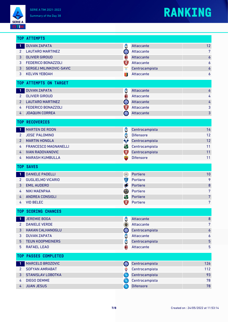**SERIE A EETIM** 



|                | TOP ATTEMPTS                |                                                 |                  |                  |
|----------------|-----------------------------|-------------------------------------------------|------------------|------------------|
| $\mathbf{1}$   | <b>DUVAN ZAPATA</b>         | C                                               | Attaccante       | 12               |
| 2              | <b>LAUTARO MARTINEZ</b>     | OLO                                             | Attaccante       | 7                |
| 3              | <b>OLIVIER GIROUD</b>       | $\textcolor{red}{\textcolor{blue}{\textbf{0}}}$ | Attaccante       | $\boldsymbol{6}$ |
| 3              | FEDERICO BONAZZOLI          | B                                               | Attaccante       | 6                |
| 3              | SERGEJ MILINKOVIC-SAVIC     | ð                                               | Centrocampista   | $\boldsymbol{6}$ |
| 3              | <b>KELVIN YEBOAH</b>        | 零                                               | Attaccante       | 6                |
|                | TOP ATTEMPTS ON TARGET      |                                                 |                  |                  |
| $\mathbf{1}$   | <b>DUVAN ZAPATA</b>         | C                                               | Attaccante       | $\boldsymbol{6}$ |
| $\overline{2}$ | <b>OLIVIER GIROUD</b>       | $\textcolor{red}{\textcolor{blue}{\textbf{0}}}$ | Attaccante       | 4                |
| $\overline{2}$ | <b>LAUTARO MARTINEZ</b>     | OIO                                             | Attaccante       | 4                |
| 4              | FEDERICO BONAZZOLI          | 高                                               | Attaccante       | 3                |
| 4              | <b>JOAQUIN CORREA</b>       | OIO                                             | Attaccante       | 3                |
|                | <b>TOP RECOVERIES</b>       |                                                 |                  |                  |
| $\mathbf{1}$   | <b>MARTEN DE ROON</b>       | C                                               | Centrocampista   | 14               |
| $\overline{2}$ | <b>JOSE' PALOMINO</b>       | C                                               | <b>Difensore</b> | 12               |
| $\overline{2}$ | <b>MARTIN HONGLA</b>        | ♦                                               | Centrocampista   | 12               |
| 4              | <b>FRANCESCO MAGNANELLI</b> | 部                                               | Centrocampista   | 11               |
| 4              | <b>IVAN RADOVANOVIC</b>     | $\sum_{mn}$                                     | Centrocampista   | 11               |
| 4              | <b>MARASH KUMBULLA</b>      | $\frac{1}{2}$                                   | <b>Difensore</b> | 11               |
|                |                             |                                                 |                  |                  |
|                | <b>TOP SAVES</b>            |                                                 |                  |                  |
| $\mathbf{1}$   | <b>DANIELE PADELLI</b>      | $\langle \bullet \rangle$                       | Portiere         | 10               |
| $\overline{2}$ | <b>GUGLIELMO VICARIO</b>    | (E)                                             | Portiere         | 9                |
| 3              | <b>EMIL AUDERO</b>          |                                                 | Portiere         | $\bf 8$          |
| 4              | <b>NIKI MAENPAA</b>         | (O)                                             | Portiere         | 7                |
| 4              | <b>ANDREA CONSIGLI</b>      | 高                                               | Portiere         | $\overline{7}$   |
| 4              | <b>VID BELEC</b>            | B)                                              | Portiere         | 7                |
|                | <b>TOP SCORING CHANCES</b>  |                                                 |                  |                  |
| -1             | <b>JEREMIE BOGA</b>         |                                                 | Attaccante       | $\bf 8$          |
| $\mathbf{2}$   | <b>DANIELE VERDE</b>        | C                                               | Attaccante       | $\overline{7}$   |
| 3              | <b>HAKAN CALHANOGLU</b>     | $\circledcirc$<br><b>OID</b>                    | Centrocampista   | $\boldsymbol{6}$ |
| 3              | <b>DUVAN ZAPATA</b>         | C                                               | Attaccante       | 6                |
| 5              | <b>TEUN KOOPMEINERS</b>     | C                                               | Centrocampista   | 5                |
| 5              | <b>RAFAEL LEAO</b>          | $\textcolor{red}{\textcolor{blue}{\textbf{0}}}$ | Attaccante       | 5                |
|                | TOP PASSES COMPLETED        |                                                 |                  |                  |
| $\mathbf{1}$   | MARCELO BROZOVIC            | QIO                                             | Centrocampista   | 126              |
| $\overline{2}$ | <b>SOFYAN AMRABAT</b>       | ♦                                               | Centrocampista   | 112              |
| 3              | <b>STANISLAV LOBOTKA</b>    | $\left( \mathbf{V}\right)$                      | Centrocampista   | 93               |
| 4              | <b>DIEGO DEMME</b>          |                                                 | Centrocampista   | 78               |